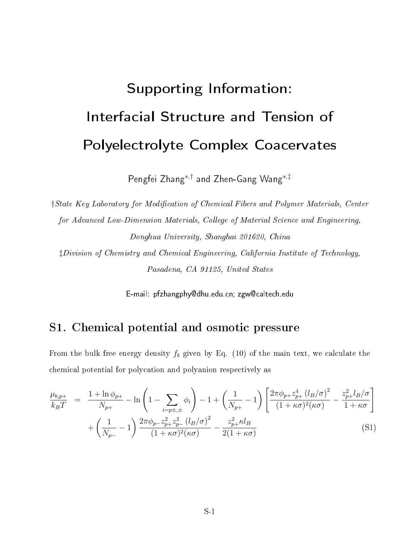# Supporting Information: Interfacial Structure and Tension of Polyelectrolyte Complex Coacervates

Pengfei Zhang<sup>∗</sup>,† and Zhen-Gang Wang<sup>∗</sup>,‡

†State Key Laboratory for Modification of Chemical Fibers and Polymer Materials, Center for Advanced Low-Dimension Materials, College of Material Science and Engineering, Donghua University, Shanghai 201620, China

‡Division of Chemistry and Chemical Engineering, California Institute of Technology, Pasadena, CA 91125, United States

E-mail: pfzhangphy@dhu.edu.cn; zgw@caltech.edu

### S1. Chemical potential and osmotic pressure

From the bulk free energy density  $f_b$  given by Eq. (10) of the main text, we calculate the chemical potential for polycation and polyanion respectively as

$$
\frac{\mu_{b,p+}}{k_B T} = \frac{1 + \ln \phi_{p+}}{N_{p+}} - \ln \left( 1 - \sum_{i=p\pm,\pm} \phi_i \right) - 1 + \left( \frac{1}{N_{p+}} - 1 \right) \left[ \frac{2\pi \phi_{p+} z_{p+}^4 (l_B/\sigma)^2}{(1 + \kappa \sigma)^2 (\kappa \sigma)} - \frac{z_{p+}^2 l_B/\sigma}{1 + \kappa \sigma} \right] + \left( \frac{1}{N_{p-}} - 1 \right) \frac{2\pi \phi_{p-} z_{p+}^2 z_{p-}^2 (l_B/\sigma)^2}{(1 + \kappa \sigma)^2 (\kappa \sigma)} - \frac{z_{p+}^2 \kappa l_B}{2(1 + \kappa \sigma)}
$$
(S1)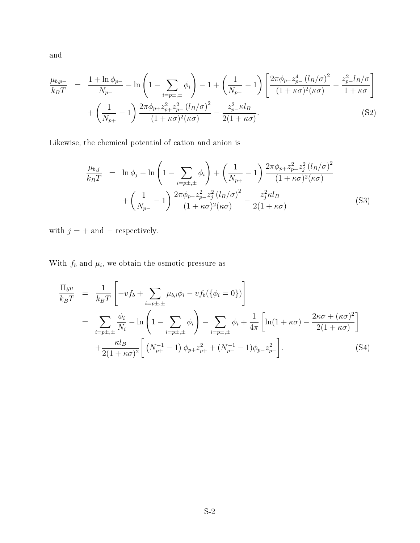and

$$
\frac{\mu_{b,p-}}{k_B T} = \frac{1 + \ln \phi_{p-}}{N_{p-}} - \ln \left( 1 - \sum_{i=p \pm, \pm} \phi_i \right) - 1 + \left( \frac{1}{N_{p-}} - 1 \right) \left[ \frac{2\pi \phi_{p-} z_{p-}^4 (l_B/\sigma)^2}{(1 + \kappa \sigma)^2 (\kappa \sigma)} - \frac{z_{p-}^2 l_B/\sigma}{1 + \kappa \sigma} \right] + \left( \frac{1}{N_{p+}} - 1 \right) \frac{2\pi \phi_{p+} z_{p+}^2 z_{p-}^2 (l_B/\sigma)^2}{(1 + \kappa \sigma)^2 (\kappa \sigma)} - \frac{z_{p-}^2 \kappa l_B}{2(1 + \kappa \sigma)}. \tag{S2}
$$

Likewise, the chemical potential of cation and anion is

$$
\frac{\mu_{b,j}}{k_B T} = \ln \phi_j - \ln \left( 1 - \sum_{i=p\pm,\pm} \phi_i \right) + \left( \frac{1}{N_{p+}} - 1 \right) \frac{2\pi \phi_{p+} z_{p+}^2 z_j^2 (l_B/\sigma)^2}{(1 + \kappa \sigma)^2 (\kappa \sigma)} \n+ \left( \frac{1}{N_{p-}} - 1 \right) \frac{2\pi \phi_{p-} z_{p-}^2 z_j^2 (l_B/\sigma)^2}{(1 + \kappa \sigma)^2 (\kappa \sigma)} - \frac{z_j^2 \kappa l_B}{2(1 + \kappa \sigma)}
$$
\n(S3)

with  $j = +$  and  $-$  respectively.

With  $f_b$  and  $\mu_i$ , we obtain the osmotic pressure as

$$
\frac{\Pi_b v}{k_B T} = \frac{1}{k_B T} \left[ -v f_b + \sum_{i=p\pm,\pm} \mu_{b,i} \phi_i - v f_b (\{\phi_i = 0\}) \right]
$$
\n
$$
= \sum_{i=p\pm,\pm} \frac{\phi_i}{N_i} - \ln \left( 1 - \sum_{i=p\pm,\pm} \phi_i \right) - \sum_{i=p\pm,\pm} \phi_i + \frac{1}{4\pi} \left[ \ln(1 + \kappa \sigma) - \frac{2\kappa \sigma + (\kappa \sigma)^2}{2(1 + \kappa \sigma)} \right]
$$
\n
$$
+ \frac{\kappa l_B}{2(1 + \kappa \sigma)^2} \left[ \left( N_{p+}^{-1} - 1 \right) \phi_{p+} z_{p+}^2 + \left( N_{p-}^{-1} - 1 \right) \phi_{p-} z_{p-}^2 \right].
$$
\n(S4)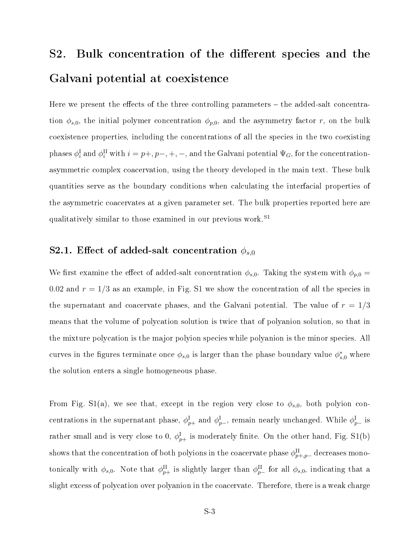## S2. Bulk concentration of the different species and the Galvani potential at coexistence

Here we present the effects of the three controlling parameters  $-$  the added-salt concentration  $\phi_{s,0}$ , the initial polymer concentration  $\phi_{p,0}$ , and the asymmetry factor r, on the bulk coexistence properties, including the concentrations of all the species in the two coexisting phases  $\phi_i^{\rm I}$  and  $\phi_i^{\rm II}$  with  $i=p+, p-, +, -,$  and the Galvani potential  $\Psi_G,$  for the concentrationasymmetric complex coacervation, using the theory developed in the main text. These bulk quantities serve as the boundary conditions when calculating the interfacial properties of the asymmetric coacervates at a given parameter set. The bulk properties reported here are qualitatively similar to those examined in our previous work.<sup>S1</sup>

### S2.1. Effect of added-salt concentration  $\phi_{s,0}$

We first examine the effect of added-salt concentration  $\phi_{s,0}$ . Taking the system with  $\phi_{p,0} =$ 0.02 and  $r = 1/3$  as an example, in Fig. S1 we show the concentration of all the species in the supernatant and coacervate phases, and the Galvani potential. The value of  $r = 1/3$ means that the volume of polycation solution is twice that of polyanion solution, so that in the mixture polycation is the major polyion species while polyanion is the minor species. All curves in the figures terminate once  $\phi_{s,0}$  is larger than the phase boundary value  $\phi_{s,0}^*$  where the solution enters a single homogeneous phase.

From Fig. S1(a), we see that, except in the region very close to  $\phi_{s,0}$ , both polyion concentrations in the supernatant phase,  $\phi^{\text{I}}_{p+}$  and  $\phi^{\text{I}}_{p-}$ , remain nearly unchanged. While  $\phi^{\text{I}}_{p-}$  is rather small and is very close to 0,  $\phi^{\text{I}}_{p+}$  is moderately finite. On the other hand, Fig. S1(b) shows that the concentration of both polyions in the coacervate phase  $\phi^{\text{II}}_{p+,p-}$  decreases monotonically with  $\phi_{s,0}$ . Note that  $\phi_{p+}^{\text{II}}$  is slightly larger than  $\phi_{p-}^{\text{II}}$  for all  $\phi_{s,0}$ , indicating that a slight excess of polycation over polyanion in the coacervate. Therefore, there is a weak charge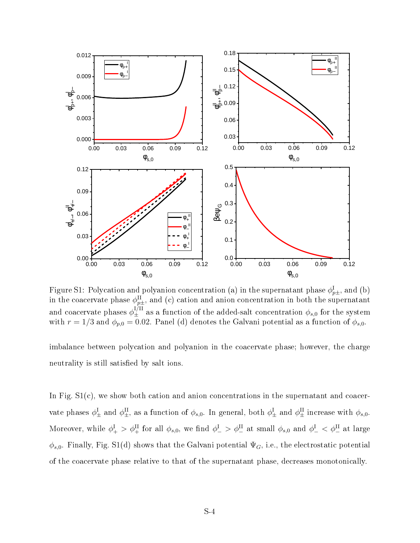

Figure S1: Polycation and polyanion concentration (a) in the supernatant phase  $\phi^{\text{I}}_{p\pm},$  and (b) in the coacervate phase  $\phi^{\text{II}}_{p\pm}$ , and (c) cation and anion concentration in both the supernatant and coacervate phases  $\phi_{\pm}^{I/II}$  as a function of the added-salt concentration  $\phi_{s,0}$  for the system with  $r = 1/3$  and  $\phi_{p,0} = 0.02$ . Panel (d) denotes the Galvani potential as a function of  $\phi_{s,0}$ .

imbalance between polycation and polyanion in the coacervate phase; however, the charge neutrality is still satisfied by salt ions.

In Fig.  $S1(c)$ , we show both cation and anion concentrations in the supernatant and coacervate phases  $\phi_{\pm}^{\text{I}}$  and  $\phi_{\pm}^{\text{II}}$ , as a function of  $\phi_{s,0}$ . In general, both  $\phi_{\pm}^{\text{I}}$  and  $\phi_{\pm}^{\text{II}}$  increase with  $\phi_{s,0}$ . Moreover, while  $\phi_+^{\rm I} > \phi_+^{\rm II}$  for all  $\phi_{s,0}$ , we find  $\phi_-^{\rm I} > \phi_-^{\rm II}$  at small  $\phi_{s,0}$  and  $\phi_-^{\rm I} < \phi_-^{\rm II}$  at large  $\phi_{s,0}$ . Finally, Fig. S1(d) shows that the Galvani potential  $\Psi_G$ , i.e., the electrostatic potential of the coacervate phase relative to that of the supernatant phase, decreases monotonically.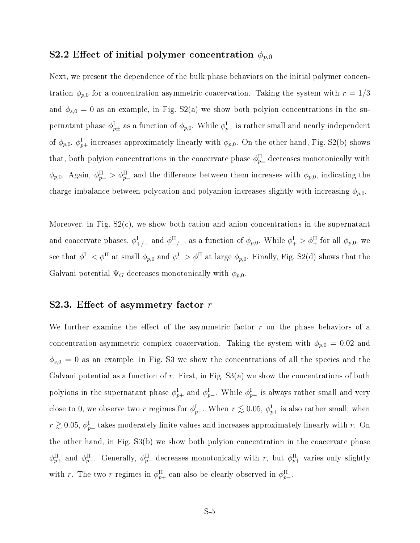#### S2.2 Effect of initial polymer concentration  $\phi_{p,0}$

Next, we present the dependence of the bulk phase behaviors on the initial polymer concentration  $\phi_{p,0}$  for a concentration-asymmetric coacervation. Taking the system with  $r = 1/3$ and  $\phi_{s,0} = 0$  as an example, in Fig. S2(a) we show both polyion concentrations in the supernatant phase  $\phi^{\rm I}_{p\pm}$  as a function of  $\phi_{p,0}.$  While  $\phi^{\rm I}_{p-}$  is rather small and nearly independent of  $\phi_{p,0},\,\phi^{\rm I}_{p+}$  increases approximately linearly with  $\phi_{p,0}.$  On the other hand, Fig. S2(b) shows that, both polyion concentrations in the coacervate phase  $\phi_{p\pm}^{\text{II}}$  decreases monotonically with  $\phi_{p,0}$ . Again,  $\phi_{p+}^{\text{II}} > \phi_{p-}^{\text{II}}$  and the difference between them increases with  $\phi_{p,0}$ , indicating the charge imbalance between polycation and polyanion increases slightly with increasing  $\phi_{p,0}$ .

Moreover, in Fig. S2(c), we show both cation and anion concentrations in the supernatant and coacervate phases,  $\phi_{+/-}^{\rm I}$  and  $\phi_{+/-}^{\rm II}$ , as a function of  $\phi_{p,0}$ . While  $\phi_{+}^{\rm I} > \phi_{+}^{\rm II}$  for all  $\phi_{p,0}$ , we see that  $\phi_-^I<\phi_-^II$  at small  $\phi_{p,0}$  and  $\phi_-^I>\phi_-^II$  at large  $\phi_{p,0}.$  Finally, Fig. S2(d) shows that the Galvani potential  $\Psi_G$  decreases monotonically with  $\phi_{p,0}$ .

#### S2.3. Effect of asymmetry factor  $r$

We further examine the effect of the asymmetric factor  $r$  on the phase behaviors of a concentration-asymmetric complex coacervation. Taking the system with  $\phi_{p,0} = 0.02$  and  $\phi_{s,0} = 0$  as an example, in Fig. S3 we show the concentrations of all the species and the Galvani potential as a function of r. First, in Fig.  $S3(a)$  we show the concentrations of both polyions in the supernatant phase  $\phi^{\text{I}}_{p+}$  and  $\phi^{\text{I}}_{p-}$ . While  $\phi^{\text{I}}_{p-}$  is always rather small and very close to 0, we observe two  $r$  regimes for  $\phi^{\text{I}}_{p+}.$  When  $r \lesssim$  0.05,  $\phi^{\text{I}}_{p+}$  is also rather small; when  $r\gtrsim 0.05,\,\phi^{\rm I}_{p+}$  takes moderately finite values and increases approximately linearly with  $r.$  On the other hand, in Fig. S3(b) we show both polyion concentration in the coacervate phase  $\phi_{p+}^{\text{II}}$  and  $\phi_{p-}^{\text{II}}$ . Generally,  $\phi_{p-}^{\text{II}}$  decreases monotonically with r, but  $\phi_{p+}^{\text{II}}$  varies only slightly with r. The two r regimes in  $\phi_{p+}^{\text{II}}$  can also be clearly observed in  $\phi_{p-}^{\text{II}}$ .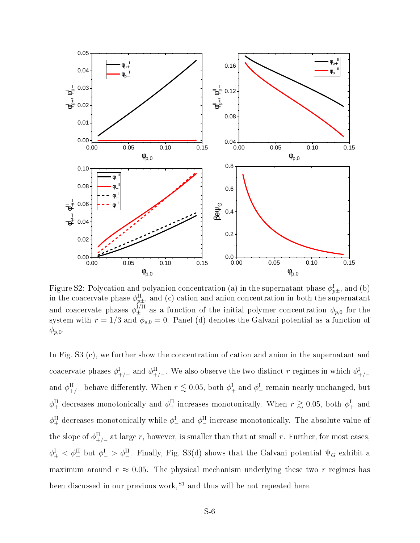

Figure S2: Polycation and polyanion concentration (a) in the supernatant phase  $\phi^{\text{I}}_{p\pm},$  and (b) in the coacervate phase  $\phi^{\text{II}}_{p\pm},$  and (c) cation and anion concentration in both the supernatant and coacervate phases  $\phi_{\pm}^{I/II}$  as a function of the initial polymer concentration  $\phi_{p,0}$  for the system with  $r = 1/3$  and  $\phi_{s,0} = 0$ . Panel (d) denotes the Galvani potential as a function of  $\phi_{p,0}$ .

In Fig. S3 (c), we further show the concentration of cation and anion in the supernatant and coacervate phases  $\phi^I_{+/-}$  and  $\phi^II_{+/-}$ . We also observe the two distinct r regimes in which  $\phi^I_{+/-}$ and  $\phi_{+/-}^{\rm II}$  behave differently. When  $r \lesssim 0.05$ , both  $\phi_{+}^{\rm I}$  and  $\phi_{-}^{\rm I}$  remain nearly unchanged, but  $\phi_+^{\text{II}}$  decreases monotonically and  $\phi_+^{\text{II}}$  increases monotonically. When  $r \gtrsim 0.05$ , both  $\phi_+^{\text{I}}$  and  $\phi_+^{\text{II}}$  decreases monotonically while  $\phi_-^{\text{I}}$  and  $\phi_-^{\text{II}}$  increase monotonically. The absolute value of the slope of  $\phi_{+/-}^{\text{II}}$  at large r, however, is smaller than that at small r. Further, for most cases,  $\phi^I_+ < \phi^I_+$  but  $\phi^I_- > \phi^I_-$ . Finally, Fig. S3(d) shows that the Galvani potential  $\Psi_G$  exhibit a maximum around  $r \approx 0.05$ . The physical mechanism underlying these two r regimes has been discussed in our previous work,  $S1$  and thus will be not repeated here.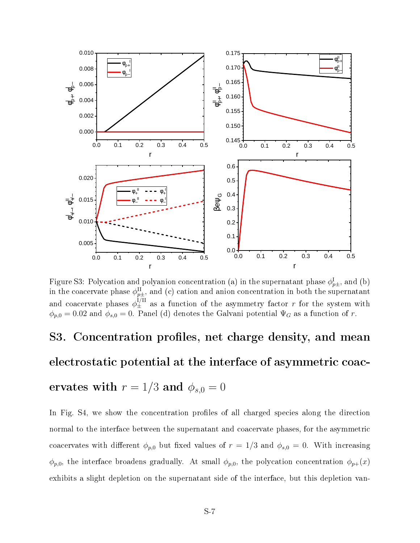

Figure S3: Polycation and polyanion concentration (a) in the supernatant phase  $\phi^{\text{I}}_{p\pm},$  and (b) in the coacervate phase  $\phi^{\text{II}}_{p\pm}$ , and (c) cation and anion concentration in both the supernatant and coacervate phases  $\phi_{\pm}^{I/II}$  as a function of the asymmetry factor r for the system with  $\phi_{p,0} = 0.02$  and  $\phi_{s,0} = 0$ . Panel (d) denotes the Galvani potential  $\Psi_G$  as a function of r.

# S3. Concentration profiles, net charge density, and mean electrostatic potential at the interface of asymmetric coac-

## ervates with  $r = 1/3$  and  $\phi_{s,0} = 0$

In Fig. S4, we show the concentration profiles of all charged species along the direction normal to the interface between the supernatant and coacervate phases, for the asymmetric coacervates with different  $\phi_{p,0}$  but fixed values of  $r = 1/3$  and  $\phi_{s,0} = 0$ . With increasing  $\phi_{p,0}$ , the interface broadens gradually. At small  $\phi_{p,0}$ , the polycation concentration  $\phi_{p+}(x)$ exhibits a slight depletion on the supernatant side of the interface, but this depletion van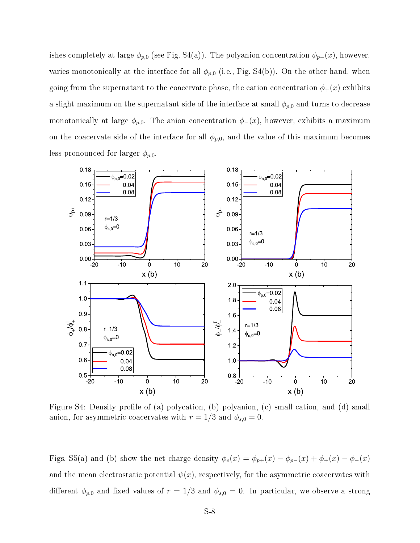ishes completely at large  $\phi_{p,0}$  (see Fig. S4(a)). The polyanion concentration  $\phi_{p-}(x)$ , however, varies monotonically at the interface for all  $\phi_{p,0}$  (i.e., Fig. S4(b)). On the other hand, when going from the supernatant to the coacervate phase, the cation concentration  $\phi_+(x)$  exhibits a slight maximum on the supernatant side of the interface at small  $\phi_{p,0}$  and turns to decrease monotonically at large  $\phi_{p,0}$ . The anion concentration  $\phi_-(x)$ , however, exhibits a maximum on the coacervate side of the interface for all  $\phi_{p,0}$ , and the value of this maximum becomes less pronounced for larger  $\phi_{p,0}$ .



Figure S4: Density profile of (a) polycation, (b) polyanion, (c) small cation, and (d) small anion, for asymmetric coacervates with  $r = 1/3$  and  $\phi_{s,0} = 0$ .

Figs. S5(a) and (b) show the net charge density  $\phi_e(x) = \phi_{p+}(x) - \phi_{p-}(x) + \phi_+(x) - \phi_-(x)$ and the mean electrostatic potential  $\psi(x)$ , respectively, for the asymmetric coacervates with different  $\phi_{p,0}$  and fixed values of  $r = 1/3$  and  $\phi_{s,0} = 0$ . In particular, we observe a strong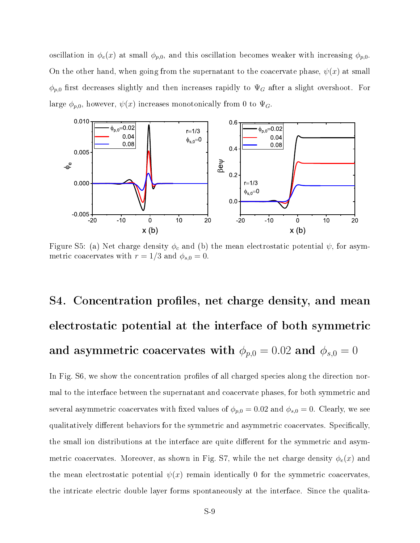oscillation in  $\phi_e(x)$  at small  $\phi_{p,0}$ , and this oscillation becomes weaker with increasing  $\phi_{p,0}$ . On the other hand, when going from the supernatant to the coacervate phase,  $\psi(x)$  at small  $\phi_{p,0}$  first decreases slightly and then increases rapidly to  $\Psi_G$  after a slight overshoot. For large  $\phi_{p,0}$ , however,  $\psi(x)$  increases monotonically from 0 to  $\Psi_G$ .



Figure S5: (a) Net charge density  $\phi_c$  and (b) the mean electrostatic potential  $\psi$ , for asymmetric coacervates with  $r = 1/3$  and  $\phi_{s,0} = 0$ .

# S4. Concentration profiles, net charge density, and mean electrostatic potential at the interface of both symmetric and asymmetric coacervates with  $\phi_{p,0} = 0.02$  and  $\phi_{s,0} = 0$

In Fig. S6, we show the concentration profiles of all charged species along the direction normal to the interface between the supernatant and coacervate phases, for both symmetric and several asymmetric coacervates with fixed values of  $\phi_{p,0} = 0.02$  and  $\phi_{s,0} = 0$ . Clearly, we see qualitatively different behaviors for the symmetric and asymmetric coacervates. Specifically, the small ion distributions at the interface are quite different for the symmetric and asymmetric coacervates. Moreover, as shown in Fig. S7, while the net charge density  $\phi_e(x)$  and the mean electrostatic potential  $\psi(x)$  remain identically 0 for the symmetric coacervates. the intricate electric double layer forms spontaneously at the interface. Since the qualita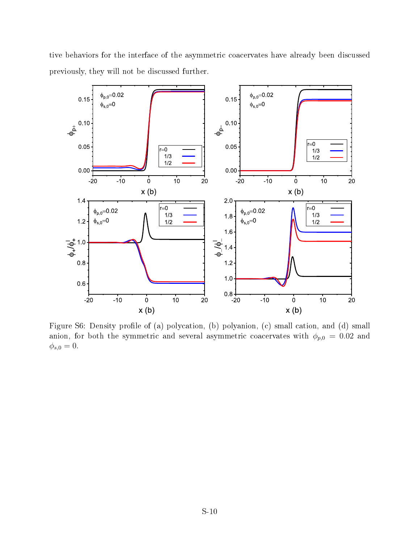tive behaviors for the interface of the asymmetric coacervates have already been discussed previously, they will not be discussed further.



Figure S6: Density profile of (a) polycation, (b) polyanion, (c) small cation, and (d) small anion, for both the symmetric and several asymmetric coacervates with  $\phi_{p,0} = 0.02$  and  $\phi_{s,0} = 0.$